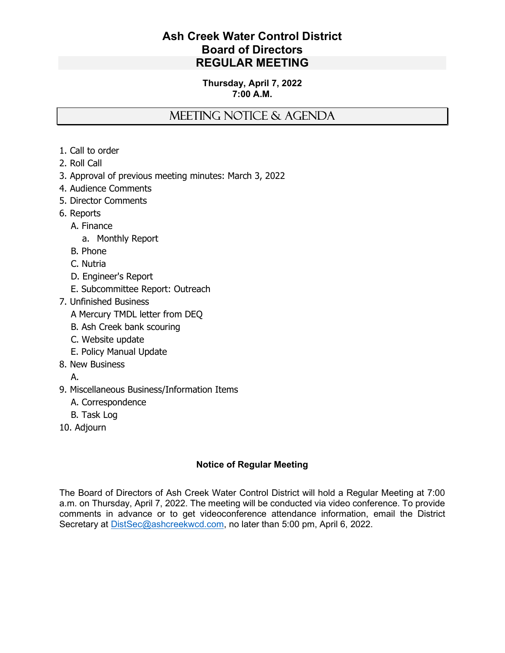## Ash Creek Water Control District Board of Directors REGULAR MEETING

## Thursday, April 7, 2022 7:00 A.M.

# MEETING NOTICE & AGENDA

- 1. Call to order
- 2. Roll Call
- 3. Approval of previous meeting minutes: March 3, 2022
- 4. Audience Comments
- 5. Director Comments
- 6. Reports
	- A. Finance
		- a. Monthly Report
	- B. Phone
	- C. Nutria
	- D. Engineer's Report
	- E. Subcommittee Report: Outreach
- 7. Unfinished Business
	- A Mercury TMDL letter from DEQ
	- B. Ash Creek bank scouring
	- C. Website update
	- E. Policy Manual Update
- 8. New Business
	- A.
- 9. Miscellaneous Business/Information Items
	- A. Correspondence
	- B. Task Log
- 10. Adjourn

## Notice of Regular Meeting

The Board of Directors of Ash Creek Water Control District will hold a Regular Meeting at 7:00 a.m. on Thursday, April 7, 2022. The meeting will be conducted via video conference. To provide comments in advance or to get videoconference attendance information, email the District Secretary at DistSec@ashcreekwcd.com, no later than 5:00 pm, April 6, 2022.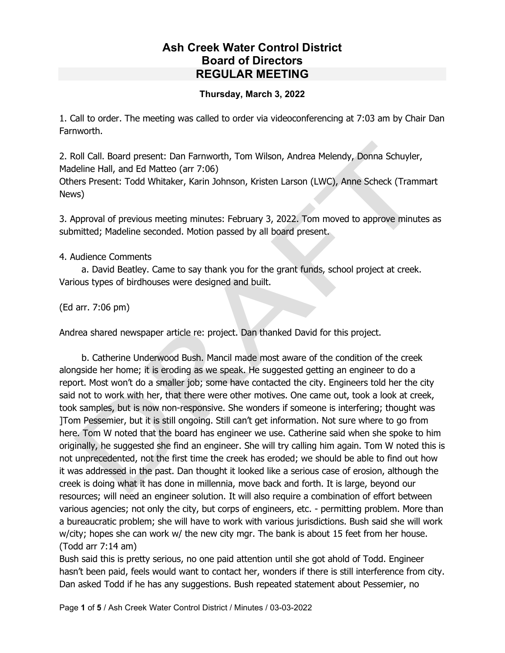# Ash Creek Water Control District Board of Directors REGULAR MEETING

#### Thursday, March 3, 2022

1. Call to order. The meeting was called to order via videoconferencing at 7:03 am by Chair Dan Farnworth.

2. Roll Call. Board present: Dan Farnworth, Tom Wilson, Andrea Melendy, Donna Schuyler, Madeline Hall, and Ed Matteo (arr 7:06)

Others Present: Todd Whitaker, Karin Johnson, Kristen Larson (LWC), Anne Scheck (Trammart News)

3. Approval of previous meeting minutes: February 3, 2022. Tom moved to approve minutes as submitted; Madeline seconded. Motion passed by all board present.

#### 4. Audience Comments

 a. David Beatley. Came to say thank you for the grant funds, school project at creek. Various types of birdhouses were designed and built.

(Ed arr. 7:06 pm)

Andrea shared newspaper article re: project. Dan thanked David for this project.

 b. Catherine Underwood Bush. Mancil made most aware of the condition of the creek alongside her home; it is eroding as we speak. He suggested getting an engineer to do a report. Most won't do a smaller job; some have contacted the city. Engineers told her the city said not to work with her, that there were other motives. One came out, took a look at creek, took samples, but is now non-responsive. She wonders if someone is interfering; thought was ]Tom Pessemier, but it is still ongoing. Still can't get information. Not sure where to go from here. Tom W noted that the board has engineer we use. Catherine said when she spoke to him originally, he suggested she find an engineer. She will try calling him again. Tom W noted this is not unprecedented, not the first time the creek has eroded; we should be able to find out how it was addressed in the past. Dan thought it looked like a serious case of erosion, although the creek is doing what it has done in millennia, move back and forth. It is large, beyond our resources; will need an engineer solution. It will also require a combination of effort between various agencies; not only the city, but corps of engineers, etc. - permitting problem. More than a bureaucratic problem; she will have to work with various jurisdictions. Bush said she will work w/city; hopes she can work w/ the new city mgr. The bank is about 15 feet from her house. (Todd arr 7:14 am)

Bush said this is pretty serious, no one paid attention until she got ahold of Todd. Engineer hasn't been paid, feels would want to contact her, wonders if there is still interference from city. Dan asked Todd if he has any suggestions. Bush repeated statement about Pessemier, no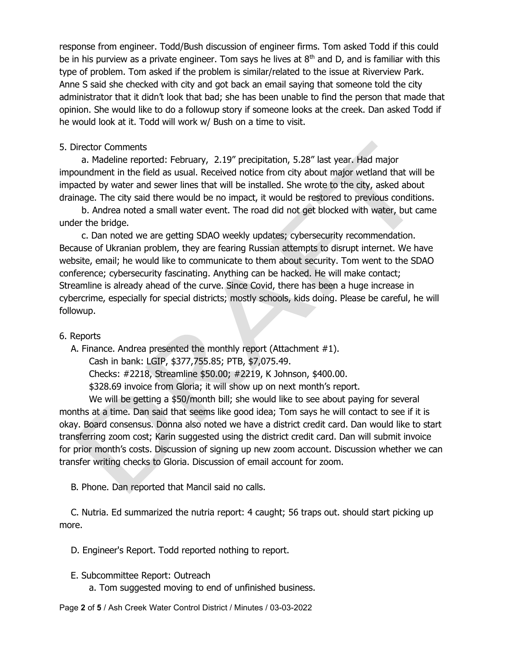response from engineer. Todd/Bush discussion of engineer firms. Tom asked Todd if this could be in his purview as a private engineer. Tom says he lives at  $8<sup>th</sup>$  and D, and is familiar with this type of problem. Tom asked if the problem is similar/related to the issue at Riverview Park. Anne S said she checked with city and got back an email saying that someone told the city administrator that it didn't look that bad; she has been unable to find the person that made that opinion. She would like to do a followup story if someone looks at the creek. Dan asked Todd if he would look at it. Todd will work w/ Bush on a time to visit.

#### 5. Director Comments

 a. Madeline reported: February, 2.19" precipitation, 5.28" last year. Had major impoundment in the field as usual. Received notice from city about major wetland that will be impacted by water and sewer lines that will be installed. She wrote to the city, asked about drainage. The city said there would be no impact, it would be restored to previous conditions.

 b. Andrea noted a small water event. The road did not get blocked with water, but came under the bridge.

 c. Dan noted we are getting SDAO weekly updates; cybersecurity recommendation. Because of Ukranian problem, they are fearing Russian attempts to disrupt internet. We have website, email; he would like to communicate to them about security. Tom went to the SDAO conference; cybersecurity fascinating. Anything can be hacked. He will make contact; Streamline is already ahead of the curve. Since Covid, there has been a huge increase in cybercrime, especially for special districts; mostly schools, kids doing. Please be careful, he will followup.

#### 6. Reports

A. Finance. Andrea presented the monthly report (Attachment #1).

Cash in bank: LGIP, \$377,755.85; PTB, \$7,075.49.

Checks: #2218, Streamline \$50.00; #2219, K Johnson, \$400.00.

\$328.69 invoice from Gloria; it will show up on next month's report.

We will be getting a \$50/month bill; she would like to see about paying for several months at a time. Dan said that seems like good idea; Tom says he will contact to see if it is okay. Board consensus. Donna also noted we have a district credit card. Dan would like to start transferring zoom cost; Karin suggested using the district credit card. Dan will submit invoice for prior month's costs. Discussion of signing up new zoom account. Discussion whether we can transfer writing checks to Gloria. Discussion of email account for zoom.

B. Phone. Dan reported that Mancil said no calls.

 C. Nutria. Ed summarized the nutria report: 4 caught; 56 traps out. should start picking up more.

D. Engineer's Report. Todd reported nothing to report.

- E. Subcommittee Report: Outreach
	- a. Tom suggested moving to end of unfinished business.

Page 2 of 5 / Ash Creek Water Control District / Minutes / 03-03-2022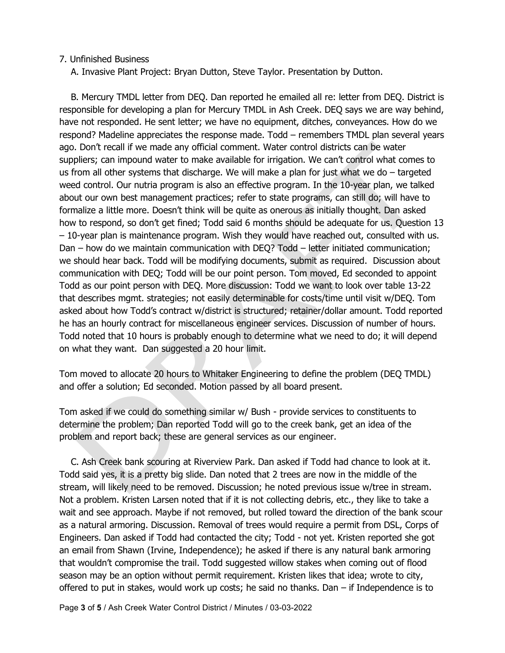#### 7. Unfinished Business

A. Invasive Plant Project: Bryan Dutton, Steve Taylor. Presentation by Dutton.

 B. Mercury TMDL letter from DEQ. Dan reported he emailed all re: letter from DEQ. District is responsible for developing a plan for Mercury TMDL in Ash Creek. DEQ says we are way behind, have not responded. He sent letter; we have no equipment, ditches, conveyances. How do we respond? Madeline appreciates the response made. Todd – remembers TMDL plan several years ago. Don't recall if we made any official comment. Water control districts can be water suppliers; can impound water to make available for irrigation. We can't control what comes to us from all other systems that discharge. We will make a plan for just what we do – targeted weed control. Our nutria program is also an effective program. In the 10-year plan, we talked about our own best management practices; refer to state programs, can still do; will have to formalize a little more. Doesn't think will be quite as onerous as initially thought. Dan asked how to respond, so don't get fined; Todd said 6 months should be adequate for us. Question 13 – 10-year plan is maintenance program. Wish they would have reached out, consulted with us. Dan – how do we maintain communication with DEQ? Todd – letter initiated communication; we should hear back. Todd will be modifying documents, submit as required. Discussion about communication with DEQ; Todd will be our point person. Tom moved, Ed seconded to appoint Todd as our point person with DEQ. More discussion: Todd we want to look over table 13-22 that describes mgmt. strategies; not easily determinable for costs/time until visit w/DEQ. Tom asked about how Todd's contract w/district is structured; retainer/dollar amount. Todd reported he has an hourly contract for miscellaneous engineer services. Discussion of number of hours. Todd noted that 10 hours is probably enough to determine what we need to do; it will depend on what they want. Dan suggested a 20 hour limit.

Tom moved to allocate 20 hours to Whitaker Engineering to define the problem (DEQ TMDL) and offer a solution; Ed seconded. Motion passed by all board present.

Tom asked if we could do something similar w/ Bush - provide services to constituents to determine the problem; Dan reported Todd will go to the creek bank, get an idea of the problem and report back; these are general services as our engineer.

 C. Ash Creek bank scouring at Riverview Park. Dan asked if Todd had chance to look at it. Todd said yes, it is a pretty big slide. Dan noted that 2 trees are now in the middle of the stream, will likely need to be removed. Discussion; he noted previous issue w/tree in stream. Not a problem. Kristen Larsen noted that if it is not collecting debris, etc., they like to take a wait and see approach. Maybe if not removed, but rolled toward the direction of the bank scour as a natural armoring. Discussion. Removal of trees would require a permit from DSL, Corps of Engineers. Dan asked if Todd had contacted the city; Todd - not yet. Kristen reported she got an email from Shawn (Irvine, Independence); he asked if there is any natural bank armoring that wouldn't compromise the trail. Todd suggested willow stakes when coming out of flood season may be an option without permit requirement. Kristen likes that idea; wrote to city, offered to put in stakes, would work up costs; he said no thanks. Dan – if Independence is to

Page 3 of 5 / Ash Creek Water Control District / Minutes / 03-03-2022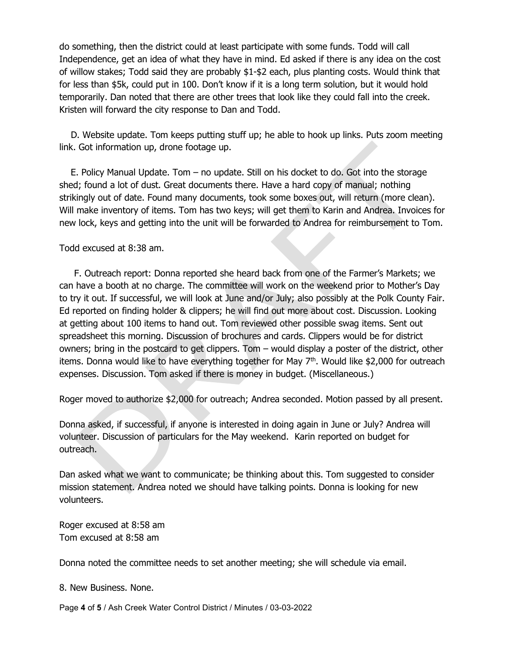do something, then the district could at least participate with some funds. Todd will call Independence, get an idea of what they have in mind. Ed asked if there is any idea on the cost of willow stakes; Todd said they are probably \$1-\$2 each, plus planting costs. Would think that for less than \$5k, could put in 100. Don't know if it is a long term solution, but it would hold temporarily. Dan noted that there are other trees that look like they could fall into the creek. Kristen will forward the city response to Dan and Todd.

 D. Website update. Tom keeps putting stuff up; he able to hook up links. Puts zoom meeting link. Got information up, drone footage up.

 E. Policy Manual Update. Tom – no update. Still on his docket to do. Got into the storage shed; found a lot of dust. Great documents there. Have a hard copy of manual; nothing strikingly out of date. Found many documents, took some boxes out, will return (more clean). Will make inventory of items. Tom has two keys; will get them to Karin and Andrea. Invoices for new lock, keys and getting into the unit will be forwarded to Andrea for reimbursement to Tom.

#### Todd excused at 8:38 am.

 F. Outreach report: Donna reported she heard back from one of the Farmer's Markets; we can have a booth at no charge. The committee will work on the weekend prior to Mother's Day to try it out. If successful, we will look at June and/or July; also possibly at the Polk County Fair. Ed reported on finding holder & clippers; he will find out more about cost. Discussion. Looking at getting about 100 items to hand out. Tom reviewed other possible swag items. Sent out spreadsheet this morning. Discussion of brochures and cards. Clippers would be for district owners; bring in the postcard to get clippers. Tom – would display a poster of the district, other items. Donna would like to have everything together for May  $7<sup>th</sup>$ . Would like \$2,000 for outreach expenses. Discussion. Tom asked if there is money in budget. (Miscellaneous.)

Roger moved to authorize \$2,000 for outreach; Andrea seconded. Motion passed by all present.

Donna asked, if successful, if anyone is interested in doing again in June or July? Andrea will volunteer. Discussion of particulars for the May weekend. Karin reported on budget for outreach.

Dan asked what we want to communicate; be thinking about this. Tom suggested to consider mission statement. Andrea noted we should have talking points. Donna is looking for new volunteers.

Roger excused at 8:58 am Tom excused at 8:58 am

Donna noted the committee needs to set another meeting; she will schedule via email.

8. New Business. None.

Page 4 of 5 / Ash Creek Water Control District / Minutes / 03-03-2022